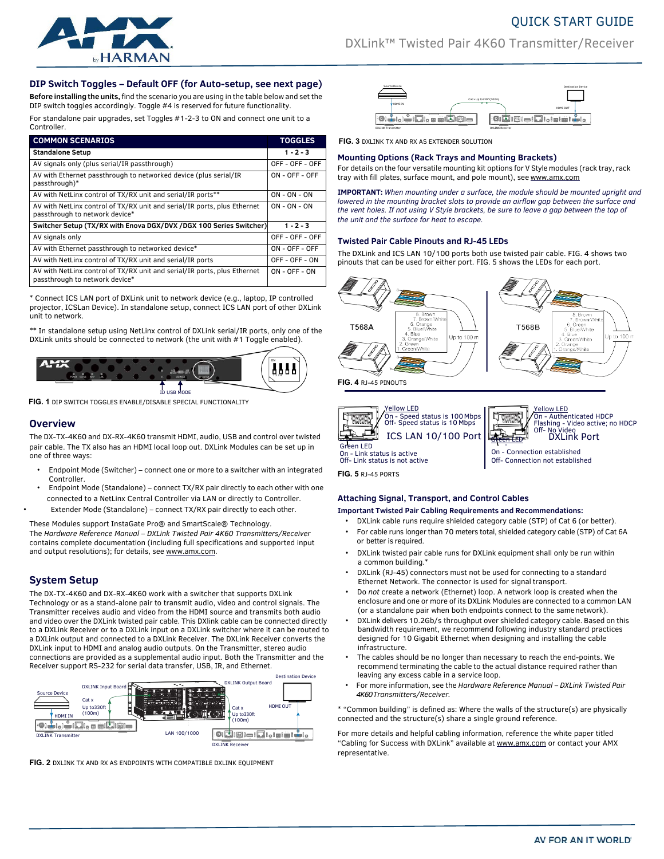

# DXLink™ Twisted Pair 4K60 Transmitter/Receiver

QUICK START GUIDE

# **DIP Switch Toggles – Default OFF (for Auto-setup, see next page)**

**Before installing the units,** find the scenario you are using in the table below and set the DIP switch toggles accordingly. Toggle #4 is reserved for future functionality.

For standalone pair upgrades, set Toggles #1-2-3 to ON and connect one unit to a Controller.

| <b>COMMON SCENARIOS</b>                                                                                    | <b>TOGGLES</b>   |
|------------------------------------------------------------------------------------------------------------|------------------|
| <b>Standalone Setup</b>                                                                                    | $1 - 2 - 3$      |
| AV signals only (plus serial/IR passthrough)                                                               | OFF - OFF - OFF  |
| AV with Ethernet passthrough to networked device (plus serial/IR<br>passthrough)*                          | $ON - OFF - OFF$ |
| AV with NetLinx control of TX/RX unit and serial/IR ports**                                                | $ON - ON - ON$   |
| AV with NetLinx control of TX/RX unit and serial/IR ports, plus Ethernet<br>passthrough to network device* | $ON - ON - ON$   |
| Switcher Setup (TX/RX with Enova DGX/DVX /DGX 100 Series Switcher)                                         | $1 - 2 - 3$      |
| AV signals only                                                                                            | OFF - OFF - OFF  |
| AV with Ethernet passthrough to networked device*                                                          | ON - OFF - OFF   |
| AV with NetLinx control of TX/RX unit and serial/IR ports                                                  | OFF - OFF - ON   |
| AV with NetLinx control of TX/RX unit and serial/IR ports, plus Ethernet<br>passthrough to network device* | $ON - OFF - ON$  |

\* Connect ICS LAN port of DXLink unit to network device (e.g., laptop, IP controlled projector, ICSLan Device). In standalone setup, connect ICS LAN port of other DXLink unit to network.

\*\* In standalone setup using NetLinx control of DXLink serial/IR ports, only one of the DXLink units should be connected to network (the unit with #1 Toggle enabled).



**FIG. 1** DIP SWITCH TOGGLES ENABLE/DISABLE SPECIAL FUNCTIONALITY

# **Overview**

The DX-TX-4K60 and DX-RX-4K60 transmit HDMI, audio, USB and control over twisted pair cable. The TX also has an HDMI local loop out. DXLink Modules can be set up in one of three ways:

- Endpoint Mode (Switcher) connect one or more to a switcher with an integrated Controller.
- Endpoint Mode (Standalone) connect TX/RX pair directly to each other with one connected to a NetLinx Central Controller via LAN or directly to Controller. • Extender Mode (Standalone) – connect TX/RX pair directly to each other.

These Modules support InstaGate Pro® and SmartScale® Technology.

The *Hardware Reference Manual – DXLink Twisted Pair 4K60 Transmitters/Receiver*  contains complete documentation (including full specifications and supported input and output resolutions); for details, se[e www.amx.com.](http://www.amx.com/)

# **System Setup**

The DX-TX-4K60 and DX-RX-4K60 work with a switcher that supports DXLink Technology or as a stand-alone pair to transmit audio, video and control signals. The Transmitter receives audio and video from the HDMI source and transmits both audio and video over the DXLink twisted pair cable. This DXlink cable can be connected directly to a DXLink Receiver or to a DXLink input on a DXLink switcher where it can be routed to a DXLink output and connected to a DXLink Receiver. The DXLink Receiver converts the DXLink input to HDMI and analog audio outputs. On the Transmitter, stereo audio connections are provided as a supplemental audio input. Both the Transmitter and the Receiver support RS-232 for serial data transfer, USB, IR, and Ethernet.



**FIG. 2** DXLINK TX AND RX AS ENDPOINTS WITH COMPATIBLE DXLINK EQUIPMENT



**FIG. 3 DXLINK TX AND RX AS EXTENDER SOLUTION** 

# **Mounting Options (Rack Trays and Mounting Brackets)**

For details on the four versatile mounting kit options for V Style modules (rack tray, rack tray with fill plates, surface mount, and pole mount), see [www.amx.com](http://www.amx.com/)

**IMPORTANT:** *When mounting under a surface, the module should be mounted upright and lowered in the mounting bracket slots to provide an airflow gap between the surface and the vent holes. If not using V Style brackets, be sure to leave a gap between the top of the unit and the surface for heat to escape.*

# **Twisted Pair Cable Pinouts and RJ-45 LEDs**

The DXLink and ICS LAN 10/100 ports both use twisted pair cable. FIG. 4 shows two pinouts that can be used for either port. FIG. 5 shows the LEDs for each port.



On - Authenticated HDCP Flashing - Video active; no HDCP Off- No Video DXLink Port ø ICS LAN 10/100 Port Green LED Connection established On - Link status is active Off- Link status is not active Off- Connection not established

**FIG. 5** RJ-45 PORTS

# **Attaching Signal, Transport, and Control Cables**

**Important Twisted Pair Cabling Requirements and Recommendations:**

- DXLink cable runs require shielded category cable (STP) of Cat 6 (or better). For cable runs longer than 70 meters total, shielded category cable (STP) of Cat 6A
- or better is required. • DXLink twisted pair cable runs for DXLink equipment shall only be run within a common building.\*
- DXLink (RJ-45) connectors must not be used for connecting to a standard Ethernet Network. The connector is used for signal transport.
- Do *not* create a network (Ethernet) loop. A network loop is created when the enclosure and one or more of its DXLink Modules are connected to a common LAN (or a standalone pair when both endpoints connect to the samenetwork).
- DXLink delivers 10.2Gb/s throughput over shielded category cable. Based on this bandwidth requirement, we recommend following industry standard practices designed for 10 Gigabit Ethernet when designing and installing the cable infrastructure.
- The cables should be no longer than necessary to reach the end-points. We recommend terminating the cable to the actual distance required rather than leaving any excess cable in a service loop.
- DXLINK Output Board For more information, see the *Hardware Reference Manual – DXLink Twisted Pair 4K60Transmitters/Receiver.*

 $H^{DMI\,OUT}$   $\parallel$  \* "Common building" is defined as: Where the walls of the structure(s) are physically connected and the structure(s) share a single ground reference.

> For more details and helpful cabling information, reference the white paper titled "Cabling for Success with DXLink" available a[t www.amx.com](http://www.amx.com/) or contact your AMX representative.